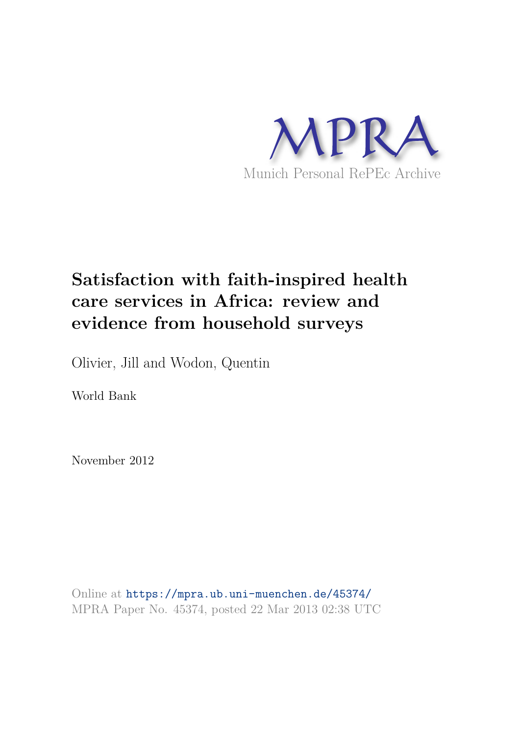

# **Satisfaction with faith-inspired health care services in Africa: review and evidence from household surveys**

Olivier, Jill and Wodon, Quentin

World Bank

November 2012

Online at https://mpra.ub.uni-muenchen.de/45374/ MPRA Paper No. 45374, posted 22 Mar 2013 02:38 UTC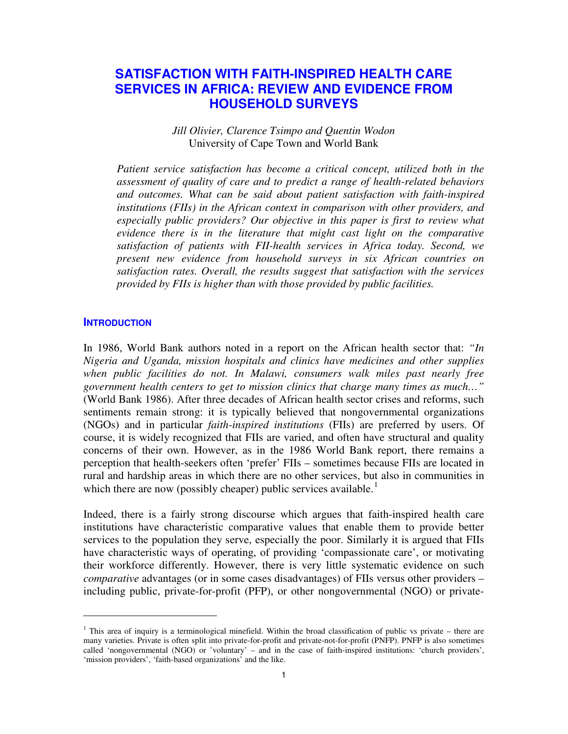# **SATISFACTION WITH FAITH-INSPIRED HEALTH CARE SERVICES IN AFRICA: REVIEW AND EVIDENCE FROM HOUSEHOLD SURVEYS**

# *Jill Olivier, Clarence Tsimpo and Quentin Wodon*  University of Cape Town and World Bank

*Patient service satisfaction has become a critical concept, utilized both in the assessment of quality of care and to predict a range of health-related behaviors and outcomes. What can be said about patient satisfaction with faith-inspired institutions (FIIs) in the African context in comparison with other providers, and especially public providers? Our objective in this paper is first to review what evidence there is in the literature that might cast light on the comparative satisfaction of patients with FII-health services in Africa today. Second, we present new evidence from household surveys in six African countries on satisfaction rates. Overall, the results suggest that satisfaction with the services provided by FIIs is higher than with those provided by public facilities.* 

#### **INTRODUCTION**

 $\overline{a}$ 

In 1986, World Bank authors noted in a report on the African health sector that: *"In Nigeria and Uganda, mission hospitals and clinics have medicines and other supplies when public facilities do not. In Malawi, consumers walk miles past nearly free government health centers to get to mission clinics that charge many times as much…"*  (World Bank 1986). After three decades of African health sector crises and reforms, such sentiments remain strong: it is typically believed that nongovernmental organizations (NGOs) and in particular *faith-inspired institutions* (FIIs) are preferred by users. Of course, it is widely recognized that FIIs are varied, and often have structural and quality concerns of their own. However, as in the 1986 World Bank report, there remains a perception that health-seekers often 'prefer' FIIs – sometimes because FIIs are located in rural and hardship areas in which there are no other services, but also in communities in which there are now (possibly cheaper) public services available.<sup>[1](#page-1-0)</sup>

Indeed, there is a fairly strong discourse which argues that faith-inspired health care institutions have characteristic comparative values that enable them to provide better services to the population they serve, especially the poor. Similarly it is argued that FIIs have characteristic ways of operating, of providing 'compassionate care', or motivating their workforce differently. However, there is very little systematic evidence on such *comparative* advantages (or in some cases disadvantages) of FIIs versus other providers – including public, private-for-profit (PFP), or other nongovernmental (NGO) or private-

<span id="page-1-0"></span><sup>&</sup>lt;sup>1</sup> This area of inquiry is a terminological minefield. Within the broad classification of public vs private – there are many varieties. Private is often split into private-for-profit and private-not-for-profit (PNFP). PNFP is also sometimes called 'nongovernmental (NGO) or 'voluntary' – and in the case of faith-inspired institutions: 'church providers', 'mission providers', 'faith-based organizations' and the like.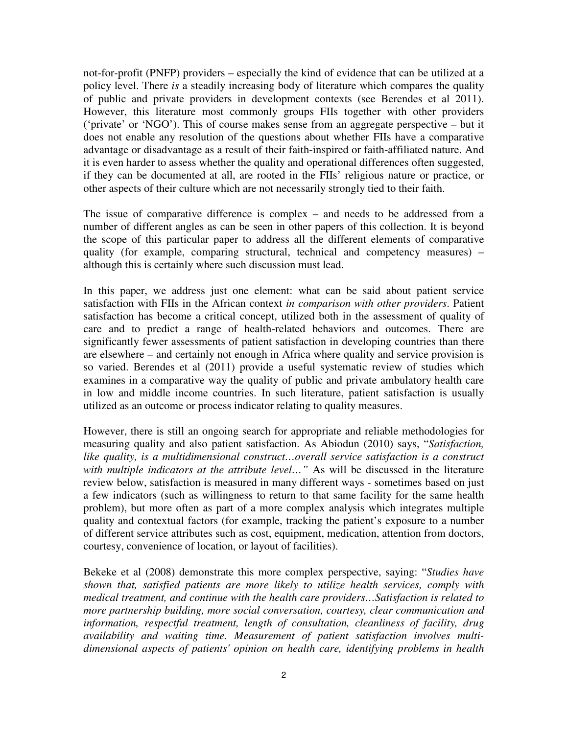not-for-profit (PNFP) providers – especially the kind of evidence that can be utilized at a policy level. There *is* a steadily increasing body of literature which compares the quality of public and private providers in development contexts (see Berendes et al 2011). However, this literature most commonly groups FIIs together with other providers ('private' or 'NGO'). This of course makes sense from an aggregate perspective – but it does not enable any resolution of the questions about whether FIIs have a comparative advantage or disadvantage as a result of their faith-inspired or faith-affiliated nature. And it is even harder to assess whether the quality and operational differences often suggested, if they can be documented at all, are rooted in the FIIs' religious nature or practice, or other aspects of their culture which are not necessarily strongly tied to their faith.

The issue of comparative difference is complex – and needs to be addressed from a number of different angles as can be seen in other papers of this collection. It is beyond the scope of this particular paper to address all the different elements of comparative quality (for example, comparing structural, technical and competency measures) – although this is certainly where such discussion must lead.

In this paper, we address just one element: what can be said about patient service satisfaction with FIIs in the African context *in comparison with other providers*. Patient satisfaction has become a critical concept, utilized both in the assessment of quality of care and to predict a range of health-related behaviors and outcomes. There are significantly fewer assessments of patient satisfaction in developing countries than there are elsewhere – and certainly not enough in Africa where quality and service provision is so varied. Berendes et al (2011) provide a useful systematic review of studies which examines in a comparative way the quality of public and private ambulatory health care in low and middle income countries. In such literature, patient satisfaction is usually utilized as an outcome or process indicator relating to quality measures.

However, there is still an ongoing search for appropriate and reliable methodologies for measuring quality and also patient satisfaction. As Abiodun (2010) says, "*Satisfaction,*  like quality, is a multidimensional construct...overall service satisfaction is a construct *with multiple indicators at the attribute level…"* As will be discussed in the literature review below, satisfaction is measured in many different ways - sometimes based on just a few indicators (such as willingness to return to that same facility for the same health problem), but more often as part of a more complex analysis which integrates multiple quality and contextual factors (for example, tracking the patient's exposure to a number of different service attributes such as cost, equipment, medication, attention from doctors, courtesy, convenience of location, or layout of facilities).

Bekeke et al (2008) demonstrate this more complex perspective, saying: "*Studies have shown that, satisfied patients are more likely to utilize health services, comply with medical treatment, and continue with the health care providers…Satisfaction is related to more partnership building, more social conversation, courtesy, clear communication and information, respectful treatment, length of consultation, cleanliness of facility, drug availability and waiting time. Measurement of patient satisfaction involves multidimensional aspects of patients' opinion on health care, identifying problems in health*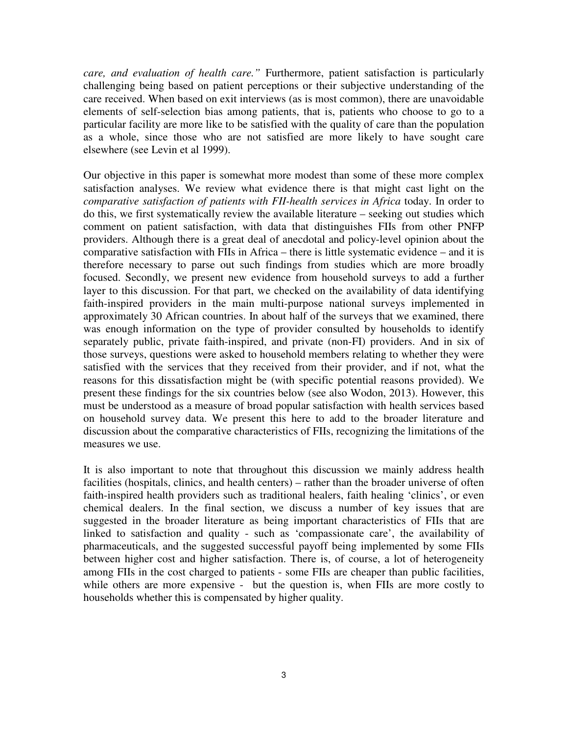*care, and evaluation of health care."* Furthermore, patient satisfaction is particularly challenging being based on patient perceptions or their subjective understanding of the care received. When based on exit interviews (as is most common), there are unavoidable elements of self-selection bias among patients, that is, patients who choose to go to a particular facility are more like to be satisfied with the quality of care than the population as a whole, since those who are not satisfied are more likely to have sought care elsewhere (see Levin et al 1999).

Our objective in this paper is somewhat more modest than some of these more complex satisfaction analyses. We review what evidence there is that might cast light on the *comparative satisfaction of patients with FII-health services in Africa* today. In order to do this, we first systematically review the available literature – seeking out studies which comment on patient satisfaction, with data that distinguishes FIIs from other PNFP providers. Although there is a great deal of anecdotal and policy-level opinion about the comparative satisfaction with FIIs in Africa – there is little systematic evidence – and it is therefore necessary to parse out such findings from studies which are more broadly focused. Secondly, we present new evidence from household surveys to add a further layer to this discussion. For that part, we checked on the availability of data identifying faith-inspired providers in the main multi-purpose national surveys implemented in approximately 30 African countries. In about half of the surveys that we examined, there was enough information on the type of provider consulted by households to identify separately public, private faith-inspired, and private (non-FI) providers. And in six of those surveys, questions were asked to household members relating to whether they were satisfied with the services that they received from their provider, and if not, what the reasons for this dissatisfaction might be (with specific potential reasons provided). We present these findings for the six countries below (see also Wodon, 2013). However, this must be understood as a measure of broad popular satisfaction with health services based on household survey data. We present this here to add to the broader literature and discussion about the comparative characteristics of FIIs, recognizing the limitations of the measures we use.

It is also important to note that throughout this discussion we mainly address health facilities (hospitals, clinics, and health centers) – rather than the broader universe of often faith-inspired health providers such as traditional healers, faith healing 'clinics', or even chemical dealers. In the final section, we discuss a number of key issues that are suggested in the broader literature as being important characteristics of FIIs that are linked to satisfaction and quality - such as 'compassionate care', the availability of pharmaceuticals, and the suggested successful payoff being implemented by some FIIs between higher cost and higher satisfaction. There is, of course, a lot of heterogeneity among FIIs in the cost charged to patients - some FIIs are cheaper than public facilities, while others are more expensive - but the question is, when FIIs are more costly to households whether this is compensated by higher quality.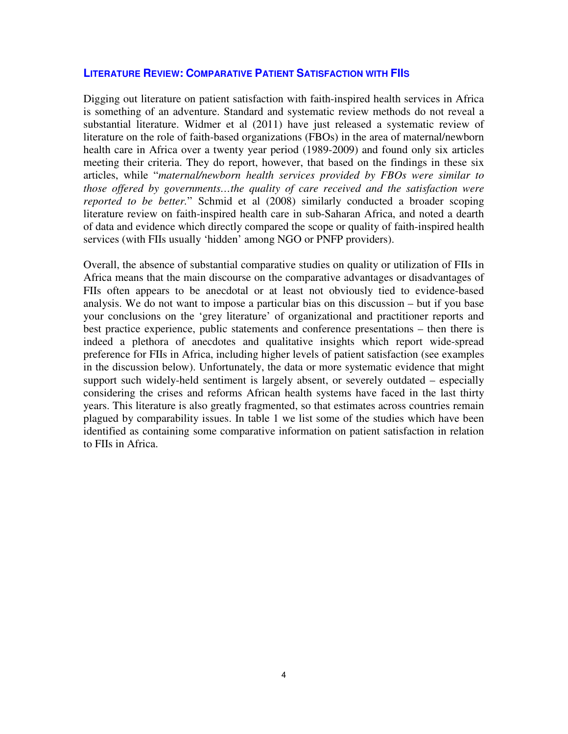### **LITERATURE REVIEW: COMPARATIVE PATIENT SATISFACTION WITH FIIS**

Digging out literature on patient satisfaction with faith-inspired health services in Africa is something of an adventure. Standard and systematic review methods do not reveal a substantial literature. Widmer et al (2011) have just released a systematic review of literature on the role of faith-based organizations (FBOs) in the area of maternal/newborn health care in Africa over a twenty year period (1989-2009) and found only six articles meeting their criteria. They do report, however, that based on the findings in these six articles, while "*maternal/newborn health services provided by FBOs were similar to those offered by governments…the quality of care received and the satisfaction were reported to be better.*" Schmid et al (2008) similarly conducted a broader scoping literature review on faith-inspired health care in sub-Saharan Africa, and noted a dearth of data and evidence which directly compared the scope or quality of faith-inspired health services (with FIIs usually 'hidden' among NGO or PNFP providers).

Overall, the absence of substantial comparative studies on quality or utilization of FIIs in Africa means that the main discourse on the comparative advantages or disadvantages of FIIs often appears to be anecdotal or at least not obviously tied to evidence-based analysis. We do not want to impose a particular bias on this discussion – but if you base your conclusions on the 'grey literature' of organizational and practitioner reports and best practice experience, public statements and conference presentations – then there is indeed a plethora of anecdotes and qualitative insights which report wide-spread preference for FIIs in Africa, including higher levels of patient satisfaction (see examples in the discussion below). Unfortunately, the data or more systematic evidence that might support such widely-held sentiment is largely absent, or severely outdated – especially considering the crises and reforms African health systems have faced in the last thirty years. This literature is also greatly fragmented, so that estimates across countries remain plagued by comparability issues. In table 1 we list some of the studies which have been identified as containing some comparative information on patient satisfaction in relation to FIIs in Africa.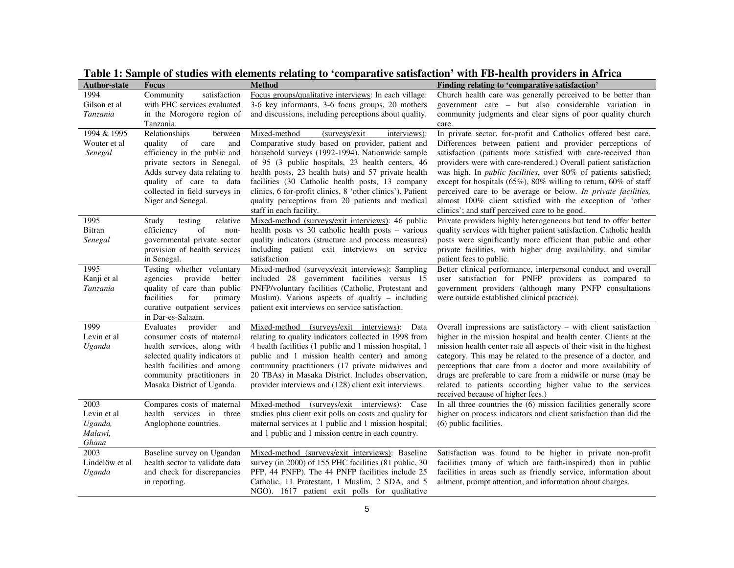| <b>Author-state</b>    | <b>Focus</b>                                                | <b>Method</b>                                                                                                    | Finding relating to 'comparative satisfaction'                                                                                              |
|------------------------|-------------------------------------------------------------|------------------------------------------------------------------------------------------------------------------|---------------------------------------------------------------------------------------------------------------------------------------------|
| 1994                   | satisfaction<br>Community                                   | Focus groups/qualitative interviews: In each village:                                                            | Church health care was generally perceived to be better than                                                                                |
| Gilson et al           | with PHC services evaluated                                 | 3-6 key informants, 3-6 focus groups, 20 mothers                                                                 | government care – but also considerable variation in                                                                                        |
| Tanzania               | in the Morogoro region of                                   | and discussions, including perceptions about quality.                                                            | community judgments and clear signs of poor quality church                                                                                  |
|                        | Tanzania.                                                   |                                                                                                                  | care.                                                                                                                                       |
| 1994 & 1995            | Relationships<br>between                                    | (surveys/exit)<br>Mixed-method<br>interviews):                                                                   | In private sector, for-profit and Catholics offered best care.                                                                              |
| Wouter et al           | quality<br>of<br>care<br>and                                | Comparative study based on provider, patient and                                                                 | Differences between patient and provider perceptions of                                                                                     |
| Senegal                | efficiency in the public and                                | household surveys (1992-1994). Nationwide sample                                                                 | satisfaction (patients more satisfied with care-received than                                                                               |
|                        | private sectors in Senegal.<br>Adds survey data relating to | of 95 (3 public hospitals, 23 health centers, 46<br>health posts, 23 health huts) and 57 private health          | providers were with care-rendered.) Overall patient satisfaction<br>was high. In <i>public facilities</i> , over 80% of patients satisfied; |
|                        | quality of care to data                                     | facilities (30 Catholic health posts, 13 company                                                                 | except for hospitals (65%), 80% willing to return; 60% of staff                                                                             |
|                        | collected in field surveys in                               | clinics, 6 for-profit clinics, 8 'other clinics'). Patient                                                       | perceived care to be average or below. In private facilities,                                                                               |
|                        | Niger and Senegal.                                          | quality perceptions from 20 patients and medical                                                                 | almost 100% client satisfied with the exception of 'other                                                                                   |
|                        |                                                             | staff in each facility.                                                                                          | clinics'; and staff perceived care to be good.                                                                                              |
| 1995                   | Study<br>relative<br>testing                                | Mixed-method (surveys/exit interviews): 46 public                                                                | Private providers highly heterogeneous but tend to offer better                                                                             |
| Bitran                 | of<br>efficiency<br>non-                                    | health posts vs 30 catholic health posts - various                                                               | quality services with higher patient satisfaction. Catholic health                                                                          |
| Senegal                | governmental private sector                                 | quality indicators (structure and process measures)                                                              | posts were significantly more efficient than public and other                                                                               |
|                        | provision of health services                                | including patient exit interviews on service                                                                     | private facilities, with higher drug availability, and similar                                                                              |
|                        | in Senegal.                                                 | satisfaction                                                                                                     | patient fees to public.                                                                                                                     |
| 1995                   | Testing whether voluntary                                   | Mixed-method (surveys/exit interviews): Sampling                                                                 | Better clinical performance, interpersonal conduct and overall                                                                              |
| Kanji et al            | agencies<br>provide<br>better                               | included 28 government facilities versus 15                                                                      | user satisfaction for PNFP providers as compared to                                                                                         |
| Tanzania               | quality of care than public<br>facilities<br>for<br>primary | PNFP/voluntary facilities (Catholic, Protestant and<br>Muslim). Various aspects of quality - including           | government providers (although many PNFP consultations<br>were outside established clinical practice).                                      |
|                        | curative outpatient services                                | patient exit interviews on service satisfaction.                                                                 |                                                                                                                                             |
|                        | in Dar-es-Salaam.                                           |                                                                                                                  |                                                                                                                                             |
| 1999                   | Evaluates<br>provider<br>and                                | Mixed-method<br>(surveys/exit)<br>interviews):<br>Data                                                           | Overall impressions are satisfactory - with client satisfaction                                                                             |
| Levin et al            | consumer costs of maternal                                  | relating to quality indicators collected in 1998 from                                                            | higher in the mission hospital and health center. Clients at the                                                                            |
| Uganda                 | health services, along with                                 | 4 health facilities (1 public and 1 mission hospital, 1                                                          | mission health center rate all aspects of their visit in the highest                                                                        |
|                        | selected quality indicators at                              | public and 1 mission health center) and among                                                                    | category. This may be related to the presence of a doctor, and                                                                              |
|                        | health facilities and among                                 | community practitioners (17 private midwives and                                                                 | perceptions that care from a doctor and more availability of                                                                                |
|                        | community practitioners in                                  | 20 TBAs) in Masaka District. Includes observation,                                                               | drugs are preferable to care from a midwife or nurse (may be                                                                                |
|                        | Masaka District of Uganda.                                  | provider interviews and (128) client exit interviews.                                                            | related to patients according higher value to the services                                                                                  |
|                        |                                                             |                                                                                                                  | received because of higher fees.)                                                                                                           |
| 2003                   | Compares costs of maternal                                  | Mixed-method<br>(surveys/exit)<br>interviews):<br>Case                                                           | In all three countries the (6) mission facilities generally score                                                                           |
| Levin et al<br>Uganda, | health services in three<br>Anglophone countries.           | studies plus client exit polls on costs and quality for<br>maternal services at 1 public and 1 mission hospital; | higher on process indicators and client satisfaction than did the<br>(6) public facilities.                                                 |
| Malawi,                |                                                             | and 1 public and 1 mission centre in each country.                                                               |                                                                                                                                             |
| Ghana                  |                                                             |                                                                                                                  |                                                                                                                                             |
| 2003                   | Baseline survey on Ugandan                                  | Mixed-method (surveys/exit interviews): Baseline                                                                 | Satisfaction was found to be higher in private non-profit                                                                                   |
| Lindelöw et al         | health sector to validate data                              | survey (in 2000) of 155 PHC facilities (81 public, 30                                                            | facilities (many of which are faith-inspired) than in public                                                                                |
| Uganda                 | and check for discrepancies                                 | PFP, 44 PNFP). The 44 PNFP facilities include 25                                                                 | facilities in areas such as friendly service, information about                                                                             |
|                        | in reporting.                                               | Catholic, 11 Protestant, 1 Muslim, 2 SDA, and 5                                                                  | ailment, prompt attention, and information about charges.                                                                                   |
|                        |                                                             | NGO). 1617 patient exit polls for qualitative                                                                    |                                                                                                                                             |

**Table 1: Sample of studies with elements relating to 'comparative satisfaction' with FB-health providers in Africa**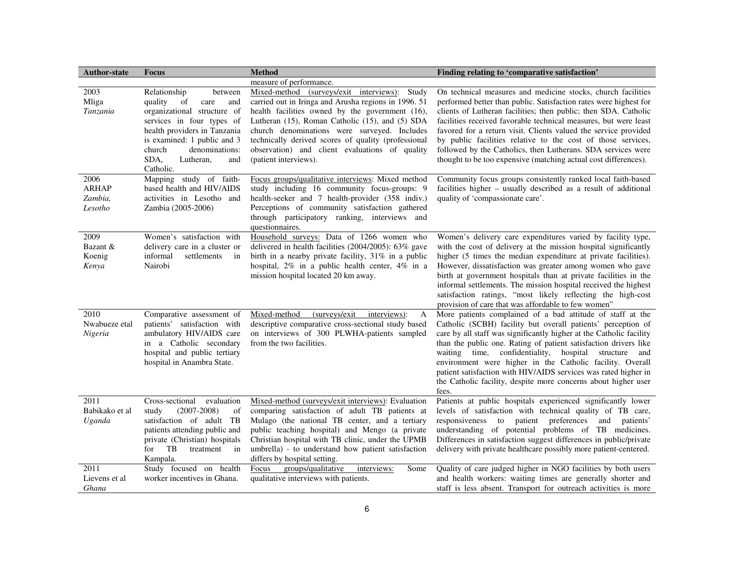| <b>Author-state</b>                        | <b>Focus</b>                                                                                                                                                                                                                                         | <b>Method</b>                                                                                                                                                                                                                                                                                                                                                                                 | Finding relating to 'comparative satisfaction'                                                                                                                                                                                                                                                                                                                                                                                                                                                                                                 |  |  |
|--------------------------------------------|------------------------------------------------------------------------------------------------------------------------------------------------------------------------------------------------------------------------------------------------------|-----------------------------------------------------------------------------------------------------------------------------------------------------------------------------------------------------------------------------------------------------------------------------------------------------------------------------------------------------------------------------------------------|------------------------------------------------------------------------------------------------------------------------------------------------------------------------------------------------------------------------------------------------------------------------------------------------------------------------------------------------------------------------------------------------------------------------------------------------------------------------------------------------------------------------------------------------|--|--|
|                                            |                                                                                                                                                                                                                                                      | measure of performance.                                                                                                                                                                                                                                                                                                                                                                       |                                                                                                                                                                                                                                                                                                                                                                                                                                                                                                                                                |  |  |
| 2003<br>Mliga<br>Tanzania                  | Relationship<br>between<br>quality of<br>care<br>and<br>organizational structure of<br>services in four types of<br>health providers in Tanzania<br>is examined: 1 public and 3<br>church<br>denominations:<br>SDA,<br>Lutheran,<br>and<br>Catholic. | Mixed-method (surveys/exit interviews): Study<br>carried out in Iringa and Arusha regions in 1996. 51<br>health facilities owned by the government (16),<br>Lutheran (15), Roman Catholic (15), and (5) SDA<br>church denominations were surveyed. Includes<br>technically derived scores of quality (professional<br>observation) and client evaluations of quality<br>(patient interviews). | On technical measures and medicine stocks, church facilities<br>performed better than public. Satisfaction rates were highest for<br>clients of Lutheran facilities; then public; then SDA. Catholic<br>facilities received favorable technical measures, but were least<br>favored for a return visit. Clients valued the service provided<br>by public facilities relative to the cost of those services,<br>followed by the Catholics, then Lutherans. SDA services were<br>thought to be too expensive (matching actual cost differences). |  |  |
| 2006<br><b>ARHAP</b><br>Zambia,<br>Lesotho | Mapping study of faith-<br>based health and HIV/AIDS<br>activities in Lesotho and<br>Zambia (2005-2006)                                                                                                                                              | Focus groups/qualitative interviews: Mixed method<br>study including 16 community focus-groups: 9<br>health-seeker and 7 health-provider (358 indiv.)<br>Perceptions of community satisfaction gathered<br>through participatory ranking, interviews and<br>questionnaires.                                                                                                                   | Community focus groups consistently ranked local faith-based<br>facilities higher - usually described as a result of additional<br>quality of 'compassionate care'.                                                                                                                                                                                                                                                                                                                                                                            |  |  |
| 2009<br>Bazant &<br>Koenig<br>Kenya        | Women's satisfaction with<br>delivery care in a cluster or<br>informal<br>settlements in<br>Nairobi                                                                                                                                                  | Household surveys: Data of 1266 women who<br>delivered in health facilities $(2004/2005)$ : 63% gave<br>birth in a nearby private facility, 31% in a public<br>hospital, 2% in a public health center, 4% in a<br>mission hospital located 20 km away.                                                                                                                                        | Women's delivery care expenditures varied by facility type,<br>with the cost of delivery at the mission hospital significantly<br>higher (5 times the median expenditure at private facilities).<br>However, dissatisfaction was greater among women who gave<br>birth at government hospitals than at private facilities in the<br>informal settlements. The mission hospital received the highest<br>satisfaction ratings, "most likely reflecting the high-cost<br>provision of care that was affordable to few women"                      |  |  |
| 2010<br>Nwabueze etal<br>Nigeria           | Comparative assessment of<br>patients' satisfaction with<br>ambulatory HIV/AIDS care<br>in a Catholic secondary<br>hospital and public tertiary<br>hospital in Anambra State.                                                                        | (surveys/exit)<br>Mixed-method<br>interviews):<br>A<br>descriptive comparative cross-sectional study based<br>on interviews of 300 PLWHA-patients sampled<br>from the two facilities.                                                                                                                                                                                                         | More patients complained of a bad attitude of staff at the<br>Catholic (SCBH) facility but overall patients' perception of<br>care by all staff was significantly higher at the Catholic facility<br>than the public one. Rating of patient satisfaction drivers like<br>waiting time, confidentiality, hospital structure and<br>environment were higher in the Catholic facility. Overall<br>patient satisfaction with HIV/AIDS services was rated higher in<br>the Catholic facility, despite more concerns about higher user<br>fees.      |  |  |
| 2011<br>Babikako et al<br>Uganda           | Cross-sectional<br>evaluation<br>$(2007 - 2008)$<br>study<br>of<br>satisfaction of adult TB<br>patients attending public and<br>private (Christian) hospitals<br>for TB<br>treatment in<br>Kampala.                                                  | Mixed-method (surveys/exit interviews): Evaluation<br>comparing satisfaction of adult TB patients at<br>Mulago (the national TB center, and a tertiary<br>public teaching hospital) and Mengo (a private<br>Christian hospital with TB clinic, under the UPMB<br>umbrella) - to understand how patient satisfaction<br>differs by hospital setting.                                           | Patients at public hospitals experienced significantly lower<br>levels of satisfaction with technical quality of TB care,<br>responsiveness to patient preferences and patients'<br>understanding of potential problems of TB medicines.<br>Differences in satisfaction suggest differences in public/private<br>delivery with private healthcare possibly more patient-centered.                                                                                                                                                              |  |  |
| 2011<br>Lievens et al<br>Ghana             | Study focused on health<br>worker incentives in Ghana.                                                                                                                                                                                               | groups/qualitative<br>interviews:<br>Focus<br>Some<br>qualitative interviews with patients.                                                                                                                                                                                                                                                                                                   | Quality of care judged higher in NGO facilities by both users<br>and health workers: waiting times are generally shorter and<br>staff is less absent. Transport for outreach activities is more                                                                                                                                                                                                                                                                                                                                                |  |  |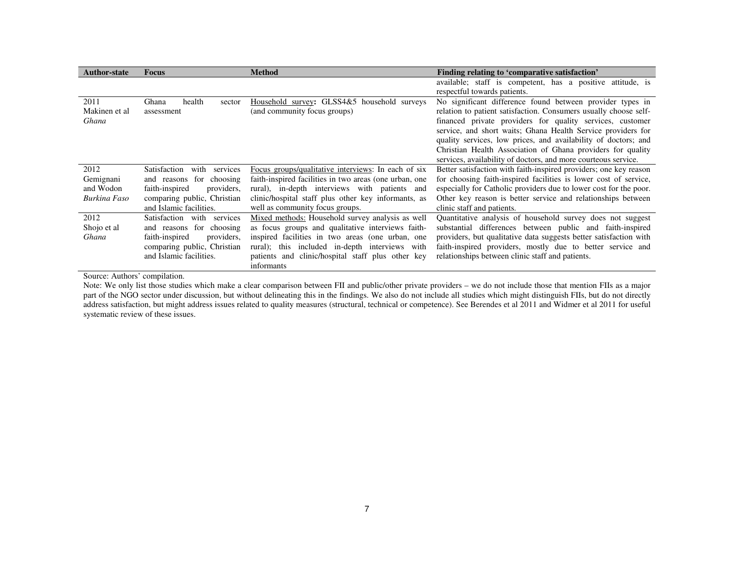| <b>Author-state</b> | <b>Focus</b>                     | <b>Method</b>                                          | Finding relating to 'comparative satisfaction'                    |  |  |  |
|---------------------|----------------------------------|--------------------------------------------------------|-------------------------------------------------------------------|--|--|--|
|                     |                                  |                                                        | available; staff is competent, has a positive attitude, is        |  |  |  |
|                     |                                  |                                                        | respectful towards patients.                                      |  |  |  |
| 2011                | health<br>Ghana<br>sector        | Household survey: GLSS4&5 household surveys            | No significant difference found between provider types in         |  |  |  |
| Makinen et al       | assessment                       | (and community focus groups)                           | relation to patient satisfaction. Consumers usually choose self-  |  |  |  |
| Ghana               |                                  |                                                        | financed private providers for quality services, customer         |  |  |  |
|                     |                                  |                                                        | service, and short waits; Ghana Health Service providers for      |  |  |  |
|                     |                                  |                                                        | quality services, low prices, and availability of doctors; and    |  |  |  |
|                     |                                  |                                                        | Christian Health Association of Ghana providers for quality       |  |  |  |
|                     |                                  |                                                        | services, availability of doctors, and more courteous service.    |  |  |  |
| 2012                | Satisfaction<br>with<br>services | Focus groups/qualitative interviews: In each of six    | Better satisfaction with faith-inspired providers; one key reason |  |  |  |
| Gemignani           | for choosing<br>and reasons      | faith-inspired facilities in two areas (one urban, one | for choosing faith-inspired facilities is lower cost of service,  |  |  |  |
| and Wodon           | providers,<br>faith-inspired     | rural), in-depth interviews with patients<br>and       | especially for Catholic providers due to lower cost for the poor. |  |  |  |
| Burkina Faso        | comparing public, Christian      | clinic/hospital staff plus other key informants, as    | Other key reason is better service and relationships between      |  |  |  |
|                     | and Islamic facilities.          | well as community focus groups.                        | clinic staff and patients.                                        |  |  |  |
| 2012                | Satisfaction<br>with<br>services | Mixed methods: Household survey analysis as well       | Quantitative analysis of household survey does not suggest        |  |  |  |
| Shojo et al         | and reasons for choosing         | as focus groups and qualitative interviews faith-      | substantial differences between public and faith-inspired         |  |  |  |
| Ghana               | faith-inspired<br>providers.     | inspired facilities in two areas (one urban, one       | providers, but qualitative data suggests better satisfaction with |  |  |  |
|                     | comparing public, Christian      | rural); this included in-depth interviews<br>with      | faith-inspired providers, mostly due to better service and        |  |  |  |
|                     | and Islamic facilities.          | patients and clinic/hospital staff plus other key      | relationships between clinic staff and patients.                  |  |  |  |
|                     |                                  | informants                                             |                                                                   |  |  |  |

Source: Authors' compilation.

Note: We only list those studies which make a clear comparison between FII and public/other private providers – we do not include those that mention FIIs as a major part of the NGO sector under discussion, but without delineating this in the findings. We also do not include all studies which might distinguish FIIs, but do not directly address satisfaction, but might address issues related to quality measures (structural, technical or competence). See Berendes et al 2011 and Widmer et al 2011 for useful systematic review of these issues.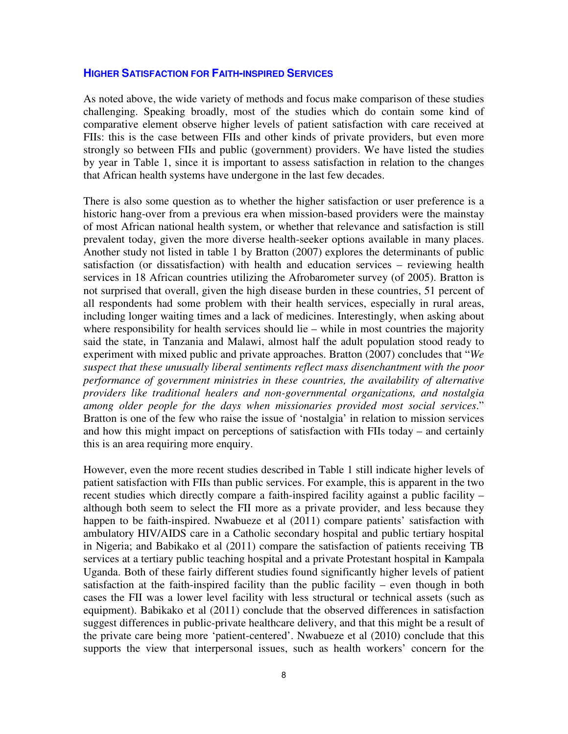#### **HIGHER SATISFACTION FOR FAITH-INSPIRED SERVICES**

As noted above, the wide variety of methods and focus make comparison of these studies challenging. Speaking broadly, most of the studies which do contain some kind of comparative element observe higher levels of patient satisfaction with care received at FIIs: this is the case between FIIs and other kinds of private providers, but even more strongly so between FIIs and public (government) providers. We have listed the studies by year in Table 1, since it is important to assess satisfaction in relation to the changes that African health systems have undergone in the last few decades.

There is also some question as to whether the higher satisfaction or user preference is a historic hang-over from a previous era when mission-based providers were the mainstay of most African national health system, or whether that relevance and satisfaction is still prevalent today, given the more diverse health-seeker options available in many places. Another study not listed in table 1 by Bratton (2007) explores the determinants of public satisfaction (or dissatisfaction) with health and education services – reviewing health services in 18 African countries utilizing the Afrobarometer survey (of 2005). Bratton is not surprised that overall, given the high disease burden in these countries, 51 percent of all respondents had some problem with their health services, especially in rural areas, including longer waiting times and a lack of medicines. Interestingly, when asking about where responsibility for health services should lie – while in most countries the majority said the state, in Tanzania and Malawi, almost half the adult population stood ready to experiment with mixed public and private approaches. Bratton (2007) concludes that "*We suspect that these unusually liberal sentiments reflect mass disenchantment with the poor performance of government ministries in these countries, the availability of alternative providers like traditional healers and non-governmental organizations, and nostalgia among older people for the days when missionaries provided most social services*." Bratton is one of the few who raise the issue of 'nostalgia' in relation to mission services and how this might impact on perceptions of satisfaction with FIIs today – and certainly this is an area requiring more enquiry.

However, even the more recent studies described in Table 1 still indicate higher levels of patient satisfaction with FIIs than public services. For example, this is apparent in the two recent studies which directly compare a faith-inspired facility against a public facility – although both seem to select the FII more as a private provider, and less because they happen to be faith-inspired. Nwabueze et al (2011) compare patients' satisfaction with ambulatory HIV/AIDS care in a Catholic secondary hospital and public tertiary hospital in Nigeria; and Babikako et al (2011) compare the satisfaction of patients receiving TB services at a tertiary public teaching hospital and a private Protestant hospital in Kampala Uganda. Both of these fairly different studies found significantly higher levels of patient satisfaction at the faith-inspired facility than the public facility – even though in both cases the FII was a lower level facility with less structural or technical assets (such as equipment). Babikako et al (2011) conclude that the observed differences in satisfaction suggest differences in public-private healthcare delivery, and that this might be a result of the private care being more 'patient-centered'. Nwabueze et al (2010) conclude that this supports the view that interpersonal issues, such as health workers' concern for the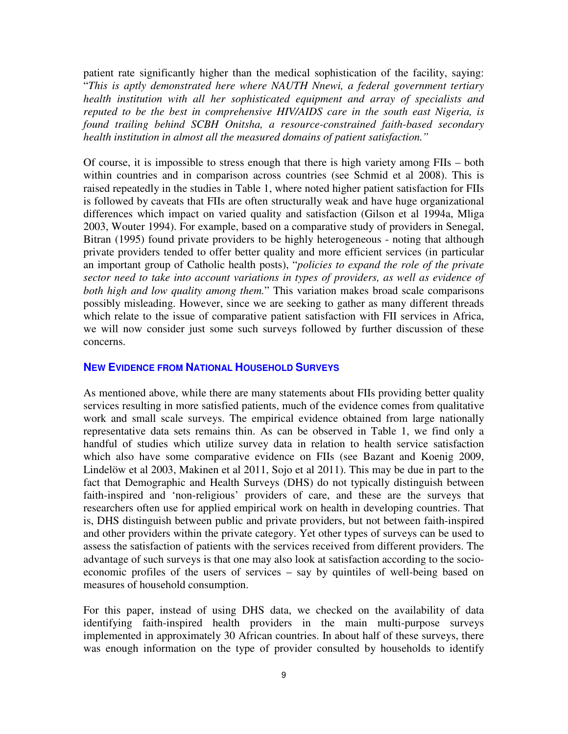patient rate significantly higher than the medical sophistication of the facility, saying: "*This is aptly demonstrated here where NAUTH Nnewi, a federal government tertiary health institution with all her sophisticated equipment and array of specialists and reputed to be the best in comprehensive HIV/AIDS care in the south east Nigeria, is found trailing behind SCBH Onitsha, a resource-constrained faith-based secondary health institution in almost all the measured domains of patient satisfaction."* 

Of course, it is impossible to stress enough that there is high variety among FIIs – both within countries and in comparison across countries (see Schmid et al 2008). This is raised repeatedly in the studies in Table 1, where noted higher patient satisfaction for FIIs is followed by caveats that FIIs are often structurally weak and have huge organizational differences which impact on varied quality and satisfaction (Gilson et al 1994a, Mliga 2003, Wouter 1994). For example, based on a comparative study of providers in Senegal, Bitran (1995) found private providers to be highly heterogeneous - noting that although private providers tended to offer better quality and more efficient services (in particular an important group of Catholic health posts), "*policies to expand the role of the private sector need to take into account variations in types of providers, as well as evidence of both high and low quality among them.*" This variation makes broad scale comparisons possibly misleading. However, since we are seeking to gather as many different threads which relate to the issue of comparative patient satisfaction with FII services in Africa, we will now consider just some such surveys followed by further discussion of these concerns.

#### **NEW EVIDENCE FROM NATIONAL HOUSEHOLD SURVEYS**

As mentioned above, while there are many statements about FIIs providing better quality services resulting in more satisfied patients, much of the evidence comes from qualitative work and small scale surveys. The empirical evidence obtained from large nationally representative data sets remains thin. As can be observed in Table 1, we find only a handful of studies which utilize survey data in relation to health service satisfaction which also have some comparative evidence on FIIs (see Bazant and Koenig 2009, Lindelöw et al 2003, Makinen et al 2011, Sojo et al 2011). This may be due in part to the fact that Demographic and Health Surveys (DHS) do not typically distinguish between faith-inspired and 'non-religious' providers of care, and these are the surveys that researchers often use for applied empirical work on health in developing countries. That is, DHS distinguish between public and private providers, but not between faith-inspired and other providers within the private category. Yet other types of surveys can be used to assess the satisfaction of patients with the services received from different providers. The advantage of such surveys is that one may also look at satisfaction according to the socioeconomic profiles of the users of services – say by quintiles of well-being based on measures of household consumption.

For this paper, instead of using DHS data, we checked on the availability of data identifying faith-inspired health providers in the main multi-purpose surveys implemented in approximately 30 African countries. In about half of these surveys, there was enough information on the type of provider consulted by households to identify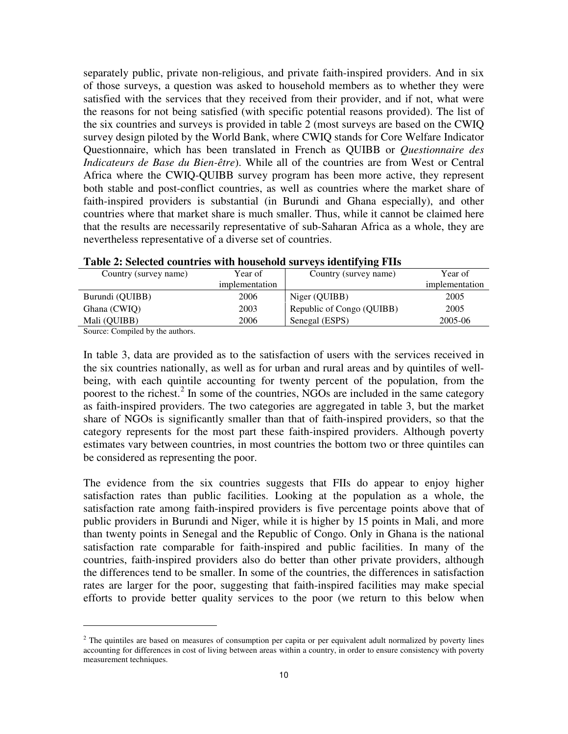separately public, private non-religious, and private faith-inspired providers. And in six of those surveys, a question was asked to household members as to whether they were satisfied with the services that they received from their provider, and if not, what were the reasons for not being satisfied (with specific potential reasons provided). The list of the six countries and surveys is provided in table 2 (most surveys are based on the CWIQ survey design piloted by the World Bank, where CWIQ stands for Core Welfare Indicator Questionnaire, which has been translated in French as QUIBB or *Questionnaire des Indicateurs de Base du Bien-être*). While all of the countries are from West or Central Africa where the CWIQ-QUIBB survey program has been more active, they represent both stable and post-conflict countries, as well as countries where the market share of faith-inspired providers is substantial (in Burundi and Ghana especially), and other countries where that market share is much smaller. Thus, while it cannot be claimed here that the results are necessarily representative of sub-Saharan Africa as a whole, they are nevertheless representative of a diverse set of countries.

| Year of        |  |
|----------------|--|
| implementation |  |
| 2005           |  |
| 2005           |  |
| 2005-06        |  |
|                |  |

|  |  | Table 2: Selected countries with household surveys identifying FIIs |  |  |
|--|--|---------------------------------------------------------------------|--|--|
|  |  |                                                                     |  |  |

Source: Compiled by the authors.

l,

In table 3, data are provided as to the satisfaction of users with the services received in the six countries nationally, as well as for urban and rural areas and by quintiles of wellbeing, with each quintile accounting for twenty percent of the population, from the poorest to the richest.<sup>[2](#page-10-0)</sup> In some of the countries, NGOs are included in the same category as faith-inspired providers. The two categories are aggregated in table 3, but the market share of NGOs is significantly smaller than that of faith-inspired providers, so that the category represents for the most part these faith-inspired providers. Although poverty estimates vary between countries, in most countries the bottom two or three quintiles can be considered as representing the poor.

The evidence from the six countries suggests that FIIs do appear to enjoy higher satisfaction rates than public facilities. Looking at the population as a whole, the satisfaction rate among faith-inspired providers is five percentage points above that of public providers in Burundi and Niger, while it is higher by 15 points in Mali, and more than twenty points in Senegal and the Republic of Congo. Only in Ghana is the national satisfaction rate comparable for faith-inspired and public facilities. In many of the countries, faith-inspired providers also do better than other private providers, although the differences tend to be smaller. In some of the countries, the differences in satisfaction rates are larger for the poor, suggesting that faith-inspired facilities may make special efforts to provide better quality services to the poor (we return to this below when

<span id="page-10-0"></span> $<sup>2</sup>$  The quintiles are based on measures of consumption per capita or per equivalent adult normalized by poverty lines</sup> accounting for differences in cost of living between areas within a country, in order to ensure consistency with poverty measurement techniques.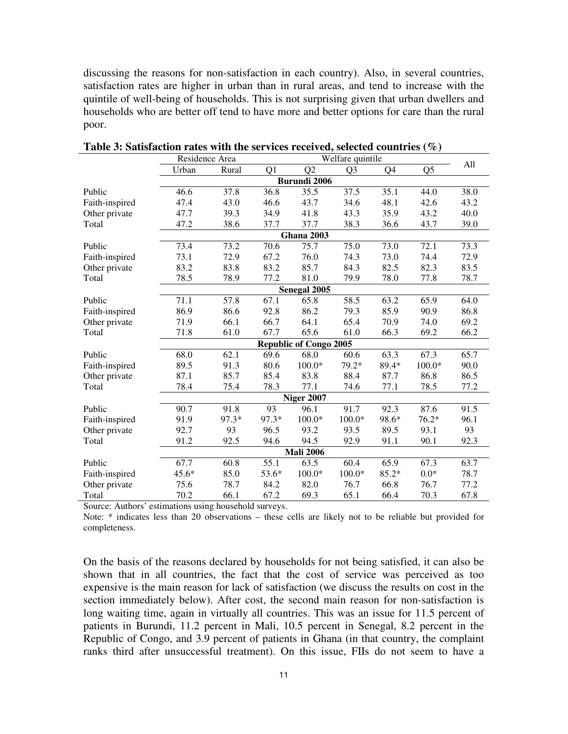discussing the reasons for non-satisfaction in each country). Also, in several countries, satisfaction rates are higher in urban than in rural areas, and tend to increase with the quintile of well-being of households. This is not surprising given that urban dwellers and households who are better off tend to have more and better options for care than the rural poor.

|                | Residence Area      |       | Welfare quintile |                               |                |       |                |      |  |
|----------------|---------------------|-------|------------------|-------------------------------|----------------|-------|----------------|------|--|
|                | Urban               | Rural | Q1               | Q2                            | Q <sub>3</sub> | Q4    | Q <sub>5</sub> | All  |  |
|                | <b>Burundi 2006</b> |       |                  |                               |                |       |                |      |  |
| Public         | 46.6                | 37.8  | 36.8             | 35.5                          | 37.5           | 35.1  | 44.0           | 38.0 |  |
| Faith-inspired | 47.4                | 43.0  | 46.6             | 43.7                          | 34.6           | 48.1  | 42.6           | 43.2 |  |
| Other private  | 47.7                | 39.3  | 34.9             | 41.8                          | 43.3           | 35.9  | 43.2           | 40.0 |  |
| Total          | 47.2                | 38.6  | 37.7             | 37.7                          | 38.3           | 36.6  | 43.7           | 39.0 |  |
|                |                     |       |                  | Ghana 2003                    |                |       |                |      |  |
| Public         | 73.4                | 73.2  | 70.6             | 75.7                          | 75.0           | 73.0  | 72.1           | 73.3 |  |
| Faith-inspired | 73.1                | 72.9  | 67.2             | 76.0                          | 74.3           | 73.0  | 74.4           | 72.9 |  |
| Other private  | 83.2                | 83.8  | 83.2             | 85.7                          | 84.3           | 82.5  | 82.3           | 83.5 |  |
| Total          | 78.5                | 78.9  | 77.2             | 81.0                          | 79.9           | 78.0  | 77.8           | 78.7 |  |
|                |                     |       |                  | Senegal 2005                  |                |       |                |      |  |
| Public         | 71.1                | 57.8  | 67.1             | 65.8                          | 58.5           | 63.2  | 65.9           | 64.0 |  |
| Faith-inspired | 86.9                | 86.6  | 92.8             | 86.2                          | 79.3           | 85.9  | 90.9           | 86.8 |  |
| Other private  | 71.9                | 66.1  | 66.7             | 64.1                          | 65.4           | 70.9  | 74.0           | 69.2 |  |
| Total          | 71.8                | 61.0  | 67.7             | 65.6                          | 61.0           | 66.3  | 69.2           | 66.2 |  |
|                |                     |       |                  | <b>Republic of Congo 2005</b> |                |       |                |      |  |
| Public         | 68.0                | 62.1  | 69.6             | 68.0                          | 60.6           | 63.3  | 67.3           | 65.7 |  |
| Faith-inspired | 89.5                | 91.3  | 80.6             | $100.0*$                      | 79.2*          | 89.4* | $100.0*$       | 90.0 |  |
| Other private  | 87.1                | 85.7  | 85.4             | 83.8                          | 88.4           | 87.7  | 86.8           | 86.5 |  |
| Total          | 78.4                | 75.4  | 78.3             | 77.1                          | 74.6           | 77.1  | 78.5           | 77.2 |  |
|                |                     |       |                  | <b>Niger 2007</b>             |                |       |                |      |  |
| Public         | 90.7                | 91.8  | 93               | 96.1                          | 91.7           | 92.3  | 87.6           | 91.5 |  |
| Faith-inspired | 91.9                | 97.3* | 97.3*            | $100.0*$                      | $100.0*$       | 98.6* | $76.2*$        | 96.1 |  |
| Other private  | 92.7                | 93    | 96.5             | 93.2                          | 93.5           | 89.5  | 93.1           | 93   |  |
| Total          | 91.2                | 92.5  | 94.6             | 94.5                          | 92.9           | 91.1  | 90.1           | 92.3 |  |
|                | <b>Mali 2006</b>    |       |                  |                               |                |       |                |      |  |
| Public         | 67.7                | 60.8  | 55.1             | 63.5                          | 60.4           | 65.9  | 67.3           | 63.7 |  |
| Faith-inspired | 45.6*               | 85.0  | 53.6*            | $100.0*$                      | $100.0*$       | 85.2* | $0.0*$         | 78.7 |  |
| Other private  | 75.6                | 78.7  | 84.2             | 82.0                          | 76.7           | 66.8  | 76.7           | 77.2 |  |
| Total          | 70.2                | 66.1  | 67.2             | 69.3                          | 65.1           | 66.4  | 70.3           | 67.8 |  |

**Table 3: Satisfaction rates with the services received, selected countries (%)**

Source: Authors' estimations using household surveys.

Note: \* indicates less than 20 observations – these cells are likely not to be reliable but provided for completeness.

On the basis of the reasons declared by households for not being satisfied, it can also be shown that in all countries, the fact that the cost of service was perceived as too expensive is the main reason for lack of satisfaction (we discuss the results on cost in the section immediately below). After cost, the second main reason for non-satisfaction is long waiting time, again in virtually all countries. This was an issue for 11.5 percent of patients in Burundi, 11.2 percent in Mali, 10.5 percent in Senegal, 8.2 percent in the Republic of Congo, and 3.9 percent of patients in Ghana (in that country, the complaint ranks third after unsuccessful treatment). On this issue, FIIs do not seem to have a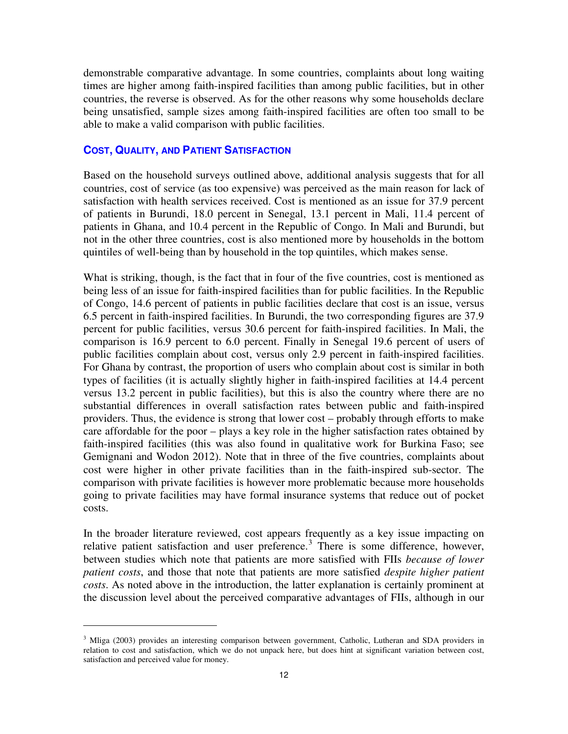demonstrable comparative advantage. In some countries, complaints about long waiting times are higher among faith-inspired facilities than among public facilities, but in other countries, the reverse is observed. As for the other reasons why some households declare being unsatisfied, sample sizes among faith-inspired facilities are often too small to be able to make a valid comparison with public facilities.

## **COST, QUALITY, AND PATIENT SATISFACTION**

l,

Based on the household surveys outlined above, additional analysis suggests that for all countries, cost of service (as too expensive) was perceived as the main reason for lack of satisfaction with health services received. Cost is mentioned as an issue for 37.9 percent of patients in Burundi, 18.0 percent in Senegal, 13.1 percent in Mali, 11.4 percent of patients in Ghana, and 10.4 percent in the Republic of Congo. In Mali and Burundi, but not in the other three countries, cost is also mentioned more by households in the bottom quintiles of well-being than by household in the top quintiles, which makes sense.

What is striking, though, is the fact that in four of the five countries, cost is mentioned as being less of an issue for faith-inspired facilities than for public facilities. In the Republic of Congo, 14.6 percent of patients in public facilities declare that cost is an issue, versus 6.5 percent in faith-inspired facilities. In Burundi, the two corresponding figures are 37.9 percent for public facilities, versus 30.6 percent for faith-inspired facilities. In Mali, the comparison is 16.9 percent to 6.0 percent. Finally in Senegal 19.6 percent of users of public facilities complain about cost, versus only 2.9 percent in faith-inspired facilities. For Ghana by contrast, the proportion of users who complain about cost is similar in both types of facilities (it is actually slightly higher in faith-inspired facilities at 14.4 percent versus 13.2 percent in public facilities), but this is also the country where there are no substantial differences in overall satisfaction rates between public and faith-inspired providers. Thus, the evidence is strong that lower cost – probably through efforts to make care affordable for the poor – plays a key role in the higher satisfaction rates obtained by faith-inspired facilities (this was also found in qualitative work for Burkina Faso; see Gemignani and Wodon 2012). Note that in three of the five countries, complaints about cost were higher in other private facilities than in the faith-inspired sub-sector. The comparison with private facilities is however more problematic because more households going to private facilities may have formal insurance systems that reduce out of pocket costs.

In the broader literature reviewed, cost appears frequently as a key issue impacting on relative patient satisfaction and user preference.<sup>[3](#page-12-0)</sup> There is some difference, however, between studies which note that patients are more satisfied with FIIs *because of lower patient costs*, and those that note that patients are more satisfied *despite higher patient costs*. As noted above in the introduction, the latter explanation is certainly prominent at the discussion level about the perceived comparative advantages of FIIs, although in our

<span id="page-12-0"></span><sup>&</sup>lt;sup>3</sup> Mliga (2003) provides an interesting comparison between government, Catholic, Lutheran and SDA providers in relation to cost and satisfaction, which we do not unpack here, but does hint at significant variation between cost, satisfaction and perceived value for money.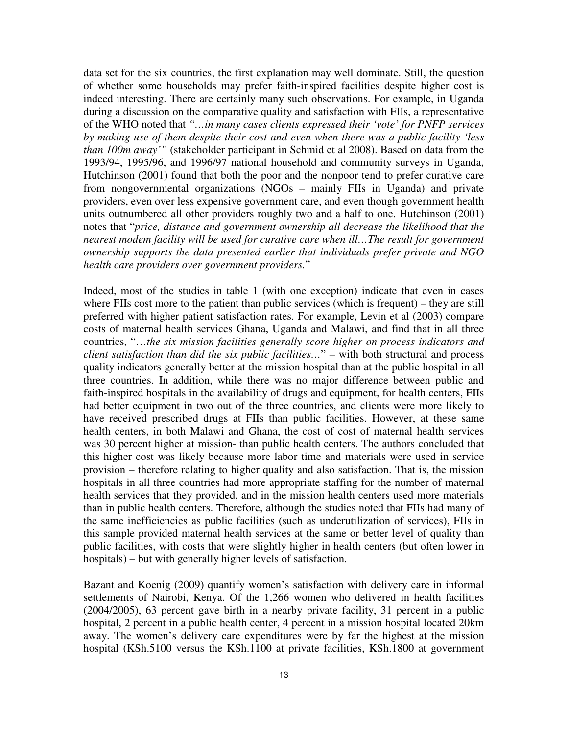data set for the six countries, the first explanation may well dominate. Still, the question of whether some households may prefer faith-inspired facilities despite higher cost is indeed interesting. There are certainly many such observations. For example, in Uganda during a discussion on the comparative quality and satisfaction with FIIs, a representative of the WHO noted that *"…in many cases clients expressed their 'vote' for PNFP services by making use of them despite their cost and even when there was a public facility 'less than 100m away'"* (stakeholder participant in Schmid et al 2008). Based on data from the 1993/94, 1995/96, and 1996/97 national household and community surveys in Uganda, Hutchinson (2001) found that both the poor and the nonpoor tend to prefer curative care from nongovernmental organizations (NGOs – mainly FIIs in Uganda) and private providers, even over less expensive government care, and even though government health units outnumbered all other providers roughly two and a half to one. Hutchinson (2001) notes that "*price, distance and government ownership all decrease the likelihood that the nearest modem facility will be used for curative care when ill…The result for government ownership supports the data presented earlier that individuals prefer private and NGO health care providers over government providers.*"

Indeed, most of the studies in table 1 (with one exception) indicate that even in cases where FIIs cost more to the patient than public services (which is frequent) – they are still preferred with higher patient satisfaction rates. For example, Levin et al (2003) compare costs of maternal health services Ghana, Uganda and Malawi, and find that in all three countries, "…*the six mission facilities generally score higher on process indicators and client satisfaction than did the six public facilities…*" – with both structural and process quality indicators generally better at the mission hospital than at the public hospital in all three countries. In addition, while there was no major difference between public and faith-inspired hospitals in the availability of drugs and equipment, for health centers, FIIs had better equipment in two out of the three countries, and clients were more likely to have received prescribed drugs at FIIs than public facilities. However, at these same health centers, in both Malawi and Ghana, the cost of cost of maternal health services was 30 percent higher at mission- than public health centers. The authors concluded that this higher cost was likely because more labor time and materials were used in service provision – therefore relating to higher quality and also satisfaction. That is, the mission hospitals in all three countries had more appropriate staffing for the number of maternal health services that they provided, and in the mission health centers used more materials than in public health centers. Therefore, although the studies noted that FIIs had many of the same inefficiencies as public facilities (such as underutilization of services), FIIs in this sample provided maternal health services at the same or better level of quality than public facilities, with costs that were slightly higher in health centers (but often lower in hospitals) – but with generally higher levels of satisfaction.

Bazant and Koenig (2009) quantify women's satisfaction with delivery care in informal settlements of Nairobi, Kenya. Of the 1,266 women who delivered in health facilities (2004/2005), 63 percent gave birth in a nearby private facility, 31 percent in a public hospital, 2 percent in a public health center, 4 percent in a mission hospital located 20km away. The women's delivery care expenditures were by far the highest at the mission hospital (KSh.5100 versus the KSh.1100 at private facilities, KSh.1800 at government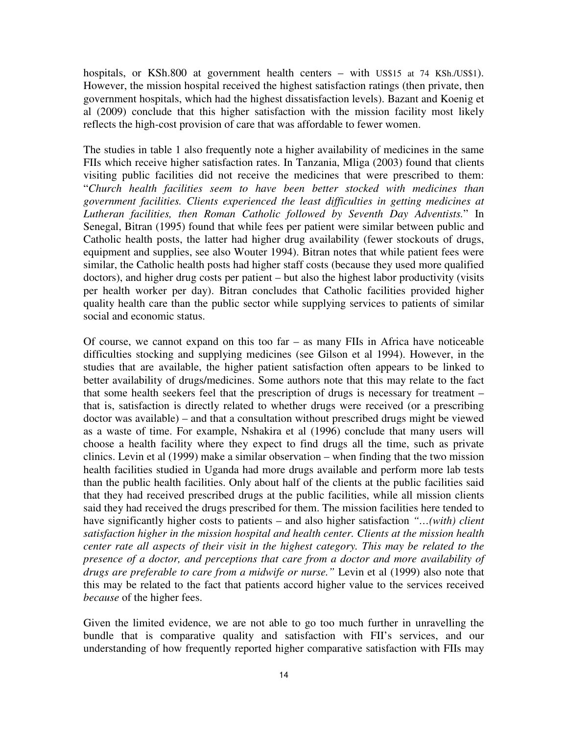hospitals, or KSh.800 at government health centers – with US\$15 at 74 KSh./US\$1). However, the mission hospital received the highest satisfaction ratings (then private, then government hospitals, which had the highest dissatisfaction levels). Bazant and Koenig et al (2009) conclude that this higher satisfaction with the mission facility most likely reflects the high-cost provision of care that was affordable to fewer women.

The studies in table 1 also frequently note a higher availability of medicines in the same FIIs which receive higher satisfaction rates. In Tanzania, Mliga (2003) found that clients visiting public facilities did not receive the medicines that were prescribed to them: "*Church health facilities seem to have been better stocked with medicines than government facilities. Clients experienced the least difficulties in getting medicines at Lutheran facilities, then Roman Catholic followed by Seventh Day Adventists.*" In Senegal, Bitran (1995) found that while fees per patient were similar between public and Catholic health posts, the latter had higher drug availability (fewer stockouts of drugs, equipment and supplies, see also Wouter 1994). Bitran notes that while patient fees were similar, the Catholic health posts had higher staff costs (because they used more qualified doctors), and higher drug costs per patient – but also the highest labor productivity (visits per health worker per day). Bitran concludes that Catholic facilities provided higher quality health care than the public sector while supplying services to patients of similar social and economic status.

Of course, we cannot expand on this too far – as many FIIs in Africa have noticeable difficulties stocking and supplying medicines (see Gilson et al 1994). However, in the studies that are available, the higher patient satisfaction often appears to be linked to better availability of drugs/medicines. Some authors note that this may relate to the fact that some health seekers feel that the prescription of drugs is necessary for treatment – that is, satisfaction is directly related to whether drugs were received (or a prescribing doctor was available) – and that a consultation without prescribed drugs might be viewed as a waste of time. For example, Nshakira et al (1996) conclude that many users will choose a health facility where they expect to find drugs all the time, such as private clinics. Levin et al (1999) make a similar observation – when finding that the two mission health facilities studied in Uganda had more drugs available and perform more lab tests than the public health facilities. Only about half of the clients at the public facilities said that they had received prescribed drugs at the public facilities, while all mission clients said they had received the drugs prescribed for them. The mission facilities here tended to have significantly higher costs to patients – and also higher satisfaction *"…(with) client satisfaction higher in the mission hospital and health center. Clients at the mission health center rate all aspects of their visit in the highest category. This may be related to the presence of a doctor, and perceptions that care from a doctor and more availability of drugs are preferable to care from a midwife or nurse."* Levin et al (1999) also note that this may be related to the fact that patients accord higher value to the services received *because* of the higher fees.

Given the limited evidence, we are not able to go too much further in unravelling the bundle that is comparative quality and satisfaction with FII's services, and our understanding of how frequently reported higher comparative satisfaction with FIIs may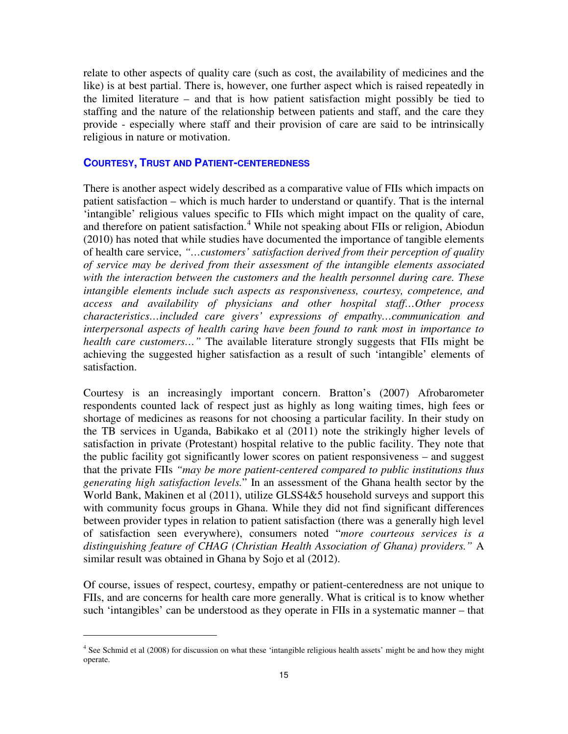relate to other aspects of quality care (such as cost, the availability of medicines and the like) is at best partial. There is, however, one further aspect which is raised repeatedly in the limited literature – and that is how patient satisfaction might possibly be tied to staffing and the nature of the relationship between patients and staff, and the care they provide - especially where staff and their provision of care are said to be intrinsically religious in nature or motivation.

# **COURTESY, TRUST AND PATIENT-CENTEREDNESS**

There is another aspect widely described as a comparative value of FIIs which impacts on patient satisfaction – which is much harder to understand or quantify. That is the internal 'intangible' religious values specific to FIIs which might impact on the quality of care, and therefore on patient satisfaction.<sup>[4](#page-15-0)</sup> While not speaking about FIIs or religion, Abiodun (2010) has noted that while studies have documented the importance of tangible elements of health care service, *"…customers' satisfaction derived from their perception of quality of service may be derived from their assessment of the intangible elements associated with the interaction between the customers and the health personnel during care. These intangible elements include such aspects as responsiveness, courtesy, competence, and access and availability of physicians and other hospital staff…Other process characteristics…included care givers' expressions of empathy…communication and interpersonal aspects of health caring have been found to rank most in importance to health care customers...*" The available literature strongly suggests that FIIs might be achieving the suggested higher satisfaction as a result of such 'intangible' elements of satisfaction.

Courtesy is an increasingly important concern. Bratton's (2007) Afrobarometer respondents counted lack of respect just as highly as long waiting times, high fees or shortage of medicines as reasons for not choosing a particular facility. In their study on the TB services in Uganda, Babikako et al (2011) note the strikingly higher levels of satisfaction in private (Protestant) hospital relative to the public facility. They note that the public facility got significantly lower scores on patient responsiveness – and suggest that the private FIIs *"may be more patient-centered compared to public institutions thus generating high satisfaction levels.*" In an assessment of the Ghana health sector by the World Bank, Makinen et al (2011), utilize GLSS4&5 household surveys and support this with community focus groups in Ghana. While they did not find significant differences between provider types in relation to patient satisfaction (there was a generally high level of satisfaction seen everywhere), consumers noted "*more courteous services is a distinguishing feature of CHAG (Christian Health Association of Ghana) providers."* A similar result was obtained in Ghana by Sojo et al (2012).

Of course, issues of respect, courtesy, empathy or patient-centeredness are not unique to FIIs, and are concerns for health care more generally. What is critical is to know whether such 'intangibles' can be understood as they operate in FIIs in a systematic manner – that

 $\overline{a}$ 

<span id="page-15-0"></span><sup>&</sup>lt;sup>4</sup> See Schmid et al (2008) for discussion on what these 'intangible religious health assets' might be and how they might operate.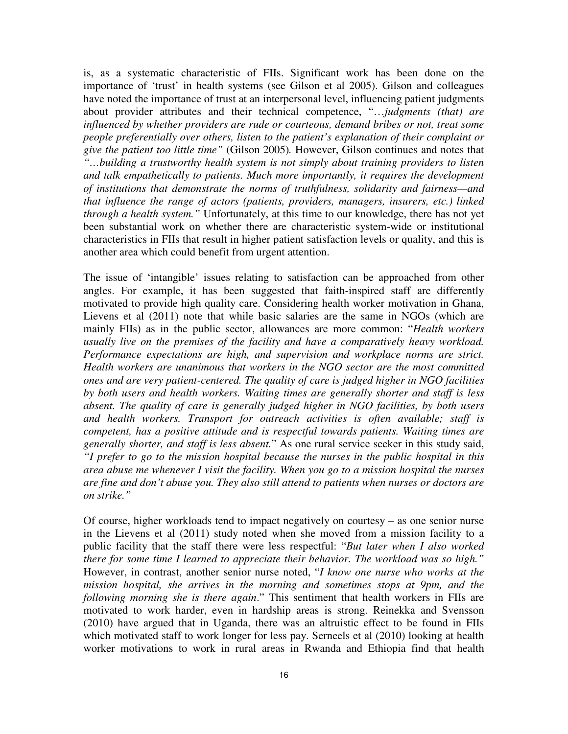is, as a systematic characteristic of FIIs. Significant work has been done on the importance of 'trust' in health systems (see Gilson et al 2005). Gilson and colleagues have noted the importance of trust at an interpersonal level, influencing patient judgments about provider attributes and their technical competence, "…*judgments (that) are influenced by whether providers are rude or courteous, demand bribes or not, treat some people preferentially over others, listen to the patient's explanation of their complaint or give the patient too little time"* (Gilson 2005)*.* However, Gilson continues and notes that *"…building a trustworthy health system is not simply about training providers to listen and talk empathetically to patients. Much more importantly, it requires the development of institutions that demonstrate the norms of truthfulness, solidarity and fairness—and that influence the range of actors (patients, providers, managers, insurers, etc.) linked through a health system."* Unfortunately, at this time to our knowledge, there has not yet been substantial work on whether there are characteristic system-wide or institutional characteristics in FIIs that result in higher patient satisfaction levels or quality, and this is another area which could benefit from urgent attention.

The issue of 'intangible' issues relating to satisfaction can be approached from other angles. For example, it has been suggested that faith-inspired staff are differently motivated to provide high quality care. Considering health worker motivation in Ghana, Lievens et al (2011) note that while basic salaries are the same in NGOs (which are mainly FIIs) as in the public sector, allowances are more common: "*Health workers usually live on the premises of the facility and have a comparatively heavy workload. Performance expectations are high, and supervision and workplace norms are strict. Health workers are unanimous that workers in the NGO sector are the most committed ones and are very patient-centered. The quality of care is judged higher in NGO facilities by both users and health workers. Waiting times are generally shorter and staff is less absent. The quality of care is generally judged higher in NGO facilities, by both users and health workers. Transport for outreach activities is often available; staff is competent, has a positive attitude and is respectful towards patients. Waiting times are generally shorter, and staff is less absent.*" As one rural service seeker in this study said, *"I prefer to go to the mission hospital because the nurses in the public hospital in this area abuse me whenever I visit the facility. When you go to a mission hospital the nurses are fine and don't abuse you. They also still attend to patients when nurses or doctors are on strike."*

Of course, higher workloads tend to impact negatively on courtesy – as one senior nurse in the Lievens et al (2011) study noted when she moved from a mission facility to a public facility that the staff there were less respectful: "*But later when I also worked there for some time I learned to appreciate their behavior. The workload was so high."* However, in contrast, another senior nurse noted, "*I know one nurse who works at the mission hospital, she arrives in the morning and sometimes stops at 9pm, and the following morning she is there again*." This sentiment that health workers in FIIs are motivated to work harder, even in hardship areas is strong. Reinekka and Svensson (2010) have argued that in Uganda, there was an altruistic effect to be found in FIIs which motivated staff to work longer for less pay. Serneels et al (2010) looking at health worker motivations to work in rural areas in Rwanda and Ethiopia find that health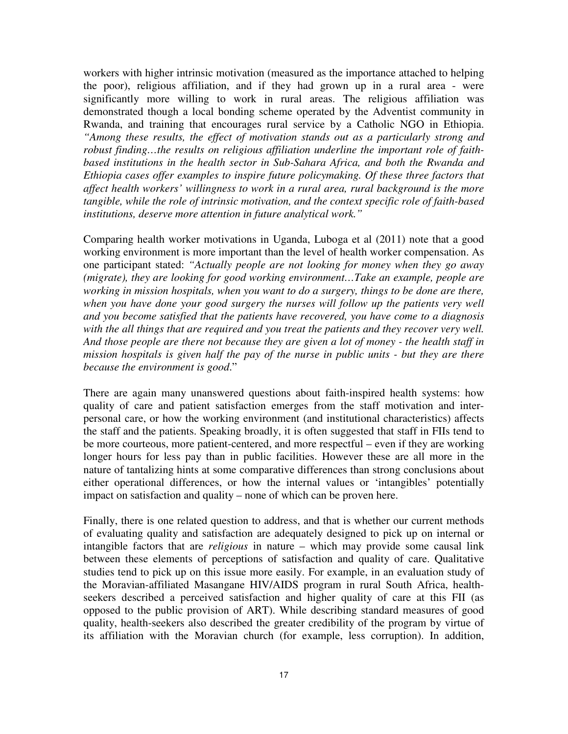workers with higher intrinsic motivation (measured as the importance attached to helping the poor), religious affiliation, and if they had grown up in a rural area - were significantly more willing to work in rural areas. The religious affiliation was demonstrated though a local bonding scheme operated by the Adventist community in Rwanda, and training that encourages rural service by a Catholic NGO in Ethiopia. *"Among these results, the effect of motivation stands out as a particularly strong and robust finding…the results on religious affiliation underline the important role of faithbased institutions in the health sector in Sub-Sahara Africa, and both the Rwanda and Ethiopia cases offer examples to inspire future policymaking. Of these three factors that affect health workers' willingness to work in a rural area, rural background is the more tangible, while the role of intrinsic motivation, and the context specific role of faith-based institutions, deserve more attention in future analytical work."*

Comparing health worker motivations in Uganda, Luboga et al (2011) note that a good working environment is more important than the level of health worker compensation. As one participant stated: *"Actually people are not looking for money when they go away (migrate), they are looking for good working environment…Take an example, people are working in mission hospitals, when you want to do a surgery, things to be done are there,*  when you have done your good surgery the nurses will follow up the patients very well *and you become satisfied that the patients have recovered, you have come to a diagnosis with the all things that are required and you treat the patients and they recover very well. And those people are there not because they are given a lot of money - the health staff in mission hospitals is given half the pay of the nurse in public units - but they are there because the environment is good*."

There are again many unanswered questions about faith-inspired health systems: how quality of care and patient satisfaction emerges from the staff motivation and interpersonal care, or how the working environment (and institutional characteristics) affects the staff and the patients. Speaking broadly, it is often suggested that staff in FIIs tend to be more courteous, more patient-centered, and more respectful – even if they are working longer hours for less pay than in public facilities. However these are all more in the nature of tantalizing hints at some comparative differences than strong conclusions about either operational differences, or how the internal values or 'intangibles' potentially impact on satisfaction and quality – none of which can be proven here.

Finally, there is one related question to address, and that is whether our current methods of evaluating quality and satisfaction are adequately designed to pick up on internal or intangible factors that are *religious* in nature – which may provide some causal link between these elements of perceptions of satisfaction and quality of care. Qualitative studies tend to pick up on this issue more easily. For example, in an evaluation study of the Moravian-affiliated Masangane HIV/AIDS program in rural South Africa, healthseekers described a perceived satisfaction and higher quality of care at this FII (as opposed to the public provision of ART). While describing standard measures of good quality, health-seekers also described the greater credibility of the program by virtue of its affiliation with the Moravian church (for example, less corruption). In addition,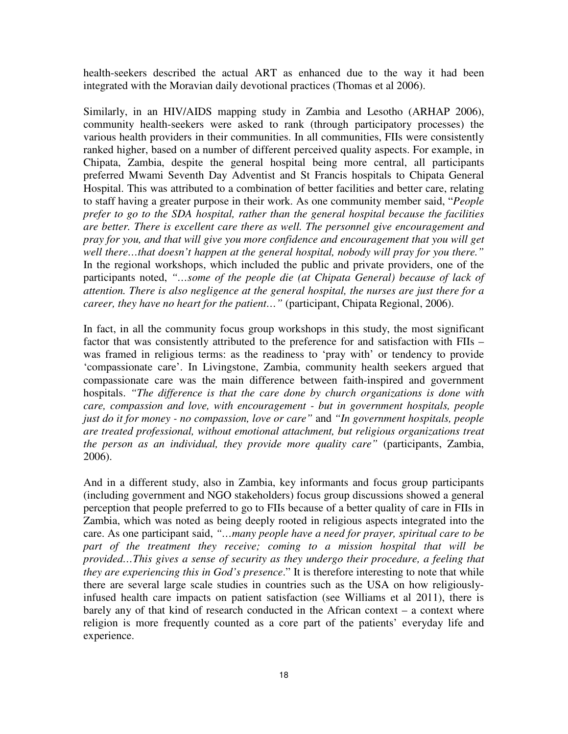health-seekers described the actual ART as enhanced due to the way it had been integrated with the Moravian daily devotional practices (Thomas et al 2006).

Similarly, in an HIV/AIDS mapping study in Zambia and Lesotho (ARHAP 2006), community health-seekers were asked to rank (through participatory processes) the various health providers in their communities. In all communities, FIIs were consistently ranked higher, based on a number of different perceived quality aspects. For example, in Chipata, Zambia, despite the general hospital being more central, all participants preferred Mwami Seventh Day Adventist and St Francis hospitals to Chipata General Hospital. This was attributed to a combination of better facilities and better care, relating to staff having a greater purpose in their work. As one community member said, "*People prefer to go to the SDA hospital, rather than the general hospital because the facilities are better. There is excellent care there as well. The personnel give encouragement and pray for you, and that will give you more confidence and encouragement that you will get well there…that doesn't happen at the general hospital, nobody will pray for you there."* In the regional workshops, which included the public and private providers, one of the participants noted, "...some of the people die (at Chipata General) because of lack of *attention. There is also negligence at the general hospital, the nurses are just there for a career, they have no heart for the patient…"* (participant, Chipata Regional, 2006).

In fact, in all the community focus group workshops in this study, the most significant factor that was consistently attributed to the preference for and satisfaction with FIIs – was framed in religious terms: as the readiness to 'pray with' or tendency to provide 'compassionate care'. In Livingstone, Zambia, community health seekers argued that compassionate care was the main difference between faith-inspired and government hospitals. *"The difference is that the care done by church organizations is done with care, compassion and love, with encouragement - but in government hospitals, people just do it for money - no compassion, love or care"* and *"In government hospitals, people are treated professional, without emotional attachment, but religious organizations treat the person as an individual, they provide more quality care"* (participants, Zambia, 2006).

And in a different study, also in Zambia, key informants and focus group participants (including government and NGO stakeholders) focus group discussions showed a general perception that people preferred to go to FIIs because of a better quality of care in FIIs in Zambia, which was noted as being deeply rooted in religious aspects integrated into the care. As one participant said, *"…many people have a need for prayer, spiritual care to be part of the treatment they receive; coming to a mission hospital that will be provided…This gives a sense of security as they undergo their procedure, a feeling that they are experiencing this in God's presence*." It is therefore interesting to note that while there are several large scale studies in countries such as the USA on how religiouslyinfused health care impacts on patient satisfaction (see Williams et al 2011), there is barely any of that kind of research conducted in the African context – a context where religion is more frequently counted as a core part of the patients' everyday life and experience.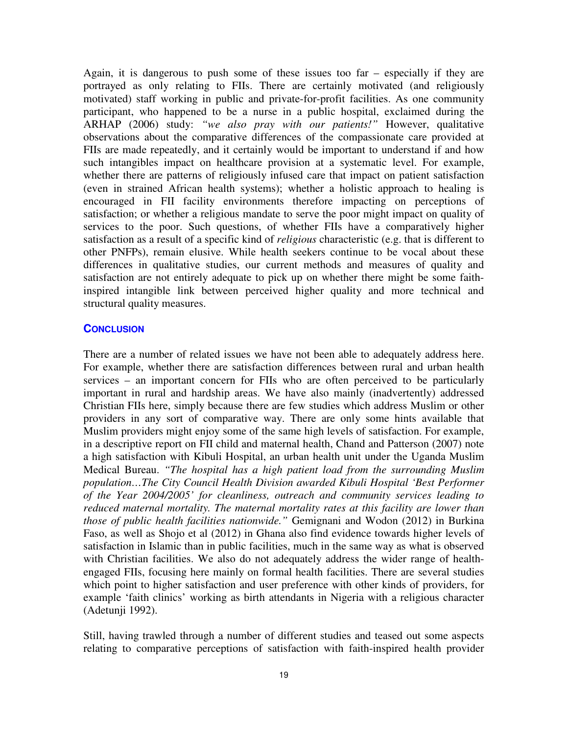Again, it is dangerous to push some of these issues too far – especially if they are portrayed as only relating to FIIs. There are certainly motivated (and religiously motivated) staff working in public and private-for-profit facilities. As one community participant, who happened to be a nurse in a public hospital, exclaimed during the ARHAP (2006) study: *"we also pray with our patients!"* However, qualitative observations about the comparative differences of the compassionate care provided at FIIs are made repeatedly, and it certainly would be important to understand if and how such intangibles impact on healthcare provision at a systematic level. For example, whether there are patterns of religiously infused care that impact on patient satisfaction (even in strained African health systems); whether a holistic approach to healing is encouraged in FII facility environments therefore impacting on perceptions of satisfaction; or whether a religious mandate to serve the poor might impact on quality of services to the poor. Such questions, of whether FIIs have a comparatively higher satisfaction as a result of a specific kind of *religious* characteristic (e.g. that is different to other PNFPs), remain elusive. While health seekers continue to be vocal about these differences in qualitative studies, our current methods and measures of quality and satisfaction are not entirely adequate to pick up on whether there might be some faithinspired intangible link between perceived higher quality and more technical and structural quality measures.

#### **CONCLUSION**

There are a number of related issues we have not been able to adequately address here. For example, whether there are satisfaction differences between rural and urban health services – an important concern for FIIs who are often perceived to be particularly important in rural and hardship areas. We have also mainly (inadvertently) addressed Christian FIIs here, simply because there are few studies which address Muslim or other providers in any sort of comparative way. There are only some hints available that Muslim providers might enjoy some of the same high levels of satisfaction. For example, in a descriptive report on FII child and maternal health, Chand and Patterson (2007) note a high satisfaction with Kibuli Hospital, an urban health unit under the Uganda Muslim Medical Bureau. *"The hospital has a high patient load from the surrounding Muslim population…The City Council Health Division awarded Kibuli Hospital 'Best Performer of the Year 2004/2005' for cleanliness, outreach and community services leading to reduced maternal mortality. The maternal mortality rates at this facility are lower than those of public health facilities nationwide."* Gemignani and Wodon (2012) in Burkina Faso, as well as Shojo et al (2012) in Ghana also find evidence towards higher levels of satisfaction in Islamic than in public facilities, much in the same way as what is observed with Christian facilities. We also do not adequately address the wider range of healthengaged FIIs, focusing here mainly on formal health facilities. There are several studies which point to higher satisfaction and user preference with other kinds of providers, for example 'faith clinics' working as birth attendants in Nigeria with a religious character (Adetunji 1992).

Still, having trawled through a number of different studies and teased out some aspects relating to comparative perceptions of satisfaction with faith-inspired health provider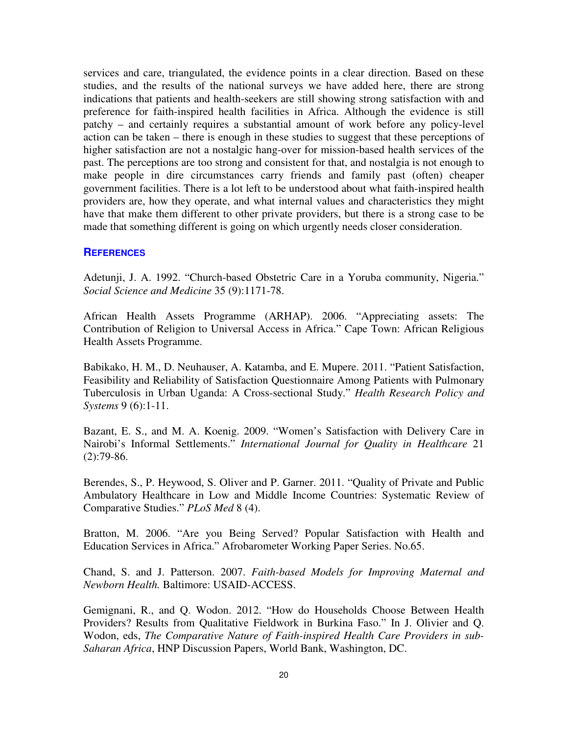services and care, triangulated, the evidence points in a clear direction. Based on these studies, and the results of the national surveys we have added here, there are strong indications that patients and health-seekers are still showing strong satisfaction with and preference for faith-inspired health facilities in Africa. Although the evidence is still patchy – and certainly requires a substantial amount of work before any policy-level action can be taken – there is enough in these studies to suggest that these perceptions of higher satisfaction are not a nostalgic hang-over for mission-based health services of the past. The perceptions are too strong and consistent for that, and nostalgia is not enough to make people in dire circumstances carry friends and family past (often) cheaper government facilities. There is a lot left to be understood about what faith-inspired health providers are, how they operate, and what internal values and characteristics they might have that make them different to other private providers, but there is a strong case to be made that something different is going on which urgently needs closer consideration.

# **REFERENCES**

Adetunji, J. A. 1992. "Church-based Obstetric Care in a Yoruba community, Nigeria." *Social Science and Medicine* 35 (9):1171-78.

African Health Assets Programme (ARHAP). 2006. "Appreciating assets: The Contribution of Religion to Universal Access in Africa." Cape Town: African Religious Health Assets Programme.

Babikako, H. M., D. Neuhauser, A. Katamba, and E. Mupere. 2011. "Patient Satisfaction, Feasibility and Reliability of Satisfaction Questionnaire Among Patients with Pulmonary Tuberculosis in Urban Uganda: A Cross-sectional Study." *Health Research Policy and Systems* 9 (6):1-11.

Bazant, E. S., and M. A. Koenig. 2009. "Women's Satisfaction with Delivery Care in Nairobi's Informal Settlements." *International Journal for Quality in Healthcare* 21  $(2):79-86.$ 

Berendes, S., P. Heywood, S. Oliver and P. Garner. 2011. "Quality of Private and Public Ambulatory Healthcare in Low and Middle Income Countries: Systematic Review of Comparative Studies." *PLoS Med* 8 (4).

Bratton, M. 2006. "Are you Being Served? Popular Satisfaction with Health and Education Services in Africa." Afrobarometer Working Paper Series. No.65.

Chand, S. and J. Patterson. 2007. *Faith-based Models for Improving Maternal and Newborn Health.* Baltimore: USAID-ACCESS.

Gemignani, R., and Q. Wodon. 2012. "How do Households Choose Between Health Providers? Results from Qualitative Fieldwork in Burkina Faso." In J. Olivier and Q. Wodon, eds, *The Comparative Nature of Faith-inspired Health Care Providers in sub-Saharan Africa*, HNP Discussion Papers, World Bank, Washington, DC.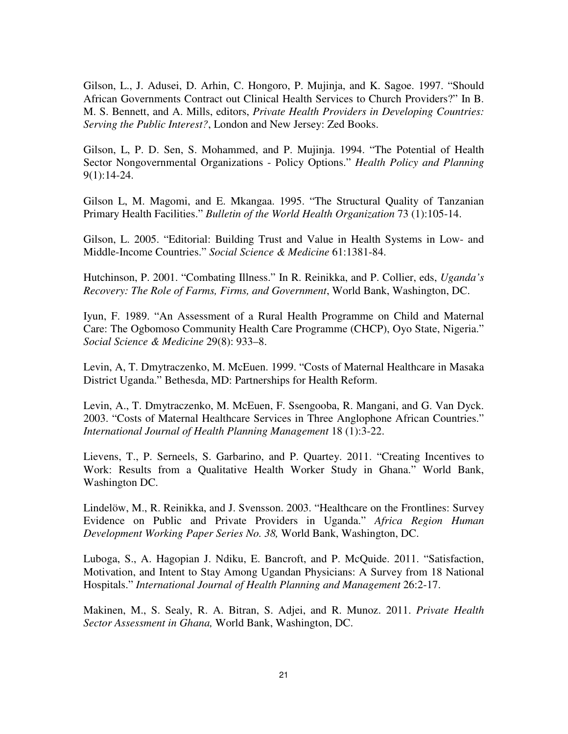Gilson, L., J. Adusei, D. Arhin, C. Hongoro, P. Mujinja, and K. Sagoe. 1997. "Should African Governments Contract out Clinical Health Services to Church Providers?" In B. M. S. Bennett, and A. Mills, editors, *Private Health Providers in Developing Countries: Serving the Public Interest?*, London and New Jersey: Zed Books.

Gilson, L, P. D. Sen, S. Mohammed, and P. Mujinja. 1994. "The Potential of Health Sector Nongovernmental Organizations - Policy Options." *Health Policy and Planning* 9(1):14-24.

Gilson L, M. Magomi, and E. Mkangaa. 1995. "The Structural Quality of Tanzanian Primary Health Facilities." *Bulletin of the World Health Organization* 73 (1):105-14.

Gilson, L. 2005. "Editorial: Building Trust and Value in Health Systems in Low- and Middle-Income Countries." *Social Science & Medicine* 61:1381-84.

Hutchinson, P. 2001. "Combating Illness." In R. Reinikka, and P. Collier, eds, *Uganda's Recovery: The Role of Farms, Firms, and Government*, World Bank, Washington, DC.

Iyun, F. 1989. "An Assessment of a Rural Health Programme on Child and Maternal Care: The Ogbomoso Community Health Care Programme (CHCP), Oyo State, Nigeria." *Social Science & Medicine* 29(8): 933–8.

Levin, A, T. Dmytraczenko, M. McEuen. 1999. "Costs of Maternal Healthcare in Masaka District Uganda." Bethesda, MD: Partnerships for Health Reform.

Levin, A., T. Dmytraczenko, M. McEuen, F. Ssengooba, R. Mangani, and G. Van Dyck. 2003. "Costs of Maternal Healthcare Services in Three Anglophone African Countries." *International Journal of Health Planning Management* 18 (1):3-22.

Lievens, T., P. Serneels, S. Garbarino, and P. Quartey. 2011. "Creating Incentives to Work: Results from a Qualitative Health Worker Study in Ghana." World Bank, Washington DC.

Lindelöw, M., R. Reinikka, and J. Svensson. 2003. "Healthcare on the Frontlines: Survey Evidence on Public and Private Providers in Uganda." *Africa Region Human Development Working Paper Series No. 38,* World Bank, Washington, DC.

Luboga, S., A. Hagopian J. Ndiku, E. Bancroft, and P. McQuide. 2011. "Satisfaction, Motivation, and Intent to Stay Among Ugandan Physicians: A Survey from 18 National Hospitals." *International Journal of Health Planning and Management* 26:2-17.

Makinen, M., S. Sealy, R. A. Bitran, S. Adjei, and R. Munoz. 2011. *Private Health Sector Assessment in Ghana,* World Bank, Washington, DC.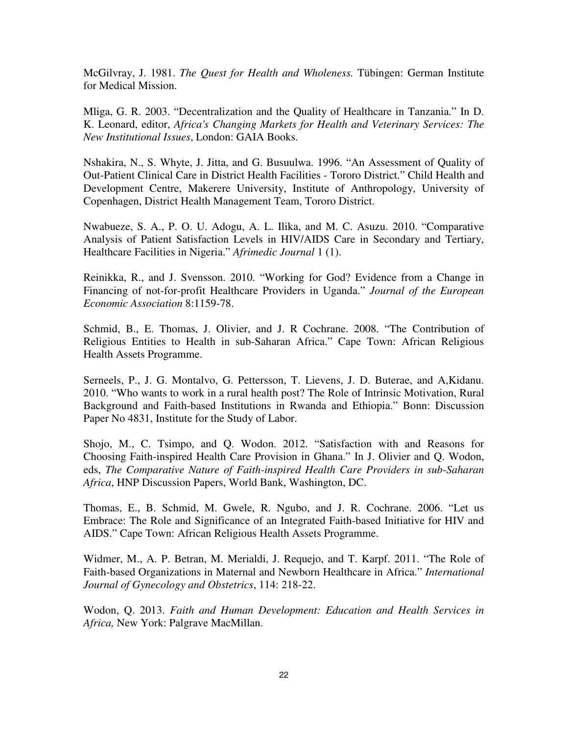McGilvray, J. 1981. *The Quest for Health and Wholeness.* Tübingen: German Institute for Medical Mission.

Mliga, G. R. 2003. "Decentralization and the Quality of Healthcare in Tanzania." In D. K. Leonard, editor, *Africa's Changing Markets for Health and Veterinary Services: The New Institutional Issues*, London: GAIA Books.

Nshakira, N., S. Whyte, J. Jitta, and G. Busuulwa. 1996. "An Assessment of Quality of Out-Patient Clinical Care in District Health Facilities - Tororo District." Child Health and Development Centre, Makerere University, Institute of Anthropology, University of Copenhagen, District Health Management Team, Tororo District.

Nwabueze, S. A., P. O. U. Adogu, A. L. Ilika, and M. C. Asuzu. 2010. "Comparative Analysis of Patient Satisfaction Levels in HIV/AIDS Care in Secondary and Tertiary, Healthcare Facilities in Nigeria." *Afrimedic Journal* 1 (1).

Reinikka, R., and J. Svensson. 2010. "Working for God? Evidence from a Change in Financing of not-for-profit Healthcare Providers in Uganda." *Journal of the European Economic Association* 8:1159-78.

Schmid, B., E. Thomas, J. Olivier, and J. R Cochrane. 2008. "The Contribution of Religious Entities to Health in sub-Saharan Africa." Cape Town: African Religious Health Assets Programme.

Serneels, P., J. G. Montalvo, G. Pettersson, T. Lievens, J. D. Buterae, and A,Kidanu. 2010. "Who wants to work in a rural health post? The Role of Intrinsic Motivation, Rural Background and Faith-based Institutions in Rwanda and Ethiopia." Bonn: Discussion Paper No 4831, Institute for the Study of Labor.

Shojo, M., C. Tsimpo, and Q. Wodon. 2012. "Satisfaction with and Reasons for Choosing Faith-inspired Health Care Provision in Ghana." In J. Olivier and Q. Wodon, eds, *The Comparative Nature of Faith-inspired Health Care Providers in sub-Saharan Africa*, HNP Discussion Papers, World Bank, Washington, DC.

Thomas, E., B. Schmid, M. Gwele, R. Ngubo, and J. R. Cochrane. 2006. "Let us Embrace: The Role and Significance of an Integrated Faith-based Initiative for HIV and AIDS." Cape Town: African Religious Health Assets Programme.

Widmer, M., A. P. Betran, M. Merialdi, J. Requejo, and T. Karpf. 2011. "The Role of Faith-based Organizations in Maternal and Newborn Healthcare in Africa." *International Journal of Gynecology and Obstetrics*, 114: 218-22.

Wodon, Q. 2013. *Faith and Human Development: Education and Health Services in Africa,* New York: Palgrave MacMillan.